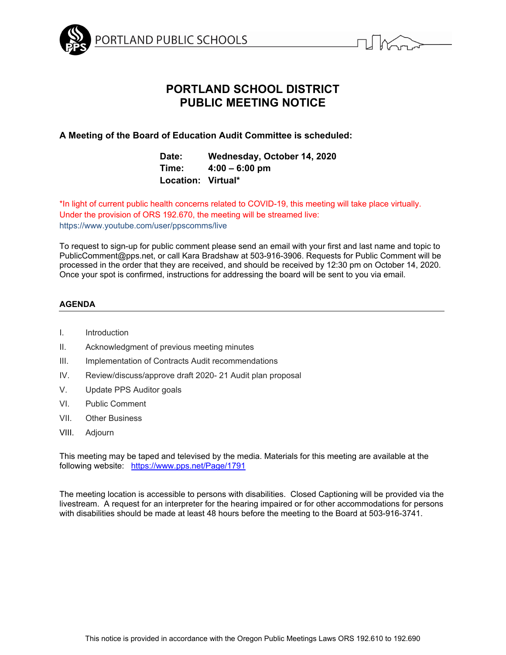



# **PORTLAND SCHOOL DISTRICT PUBLIC MEETING NOTICE**

# **A Meeting of the Board of Education Audit Committee is scheduled:**

**Date: Wednesday, October 14, 2020 Time: 4:00 – 6:00 pm Location: Virtual\*** 

\*In light of current public health concerns related to COVID-19, this meeting will take place virtually. Under the provision of ORS 192.670, the meeting will be streamed live: https://www.youtube.com/user/ppscomms/live

To request to sign-up for public comment please send an email with your first and last name and topic to PublicComment@pps.net, or call Kara Bradshaw at 503-916-3906. Requests for Public Comment will be processed in the order that they are received, and should be received by 12:30 pm on October 14, 2020. Once your spot is confirmed, instructions for addressing the board will be sent to you via email.

# **AGENDA**

- I. Introduction
- II. Acknowledgment of previous meeting minutes
- III. Implementation of Contracts Audit recommendations
- IV. Review/discuss/approve draft 2020- 21 Audit plan proposal
- V. Update PPS Auditor goals
- VI. Public Comment
- VII. Other Business
- VIII. Adjourn

This meeting may be taped and televised by the media. Materials for this meeting are available at the following website: https://www.pps.net/Page/1791

The meeting location is accessible to persons with disabilities. Closed Captioning will be provided via the livestream. A request for an interpreter for the hearing impaired or for other accommodations for persons with disabilities should be made at least 48 hours before the meeting to the Board at 503-916-3741.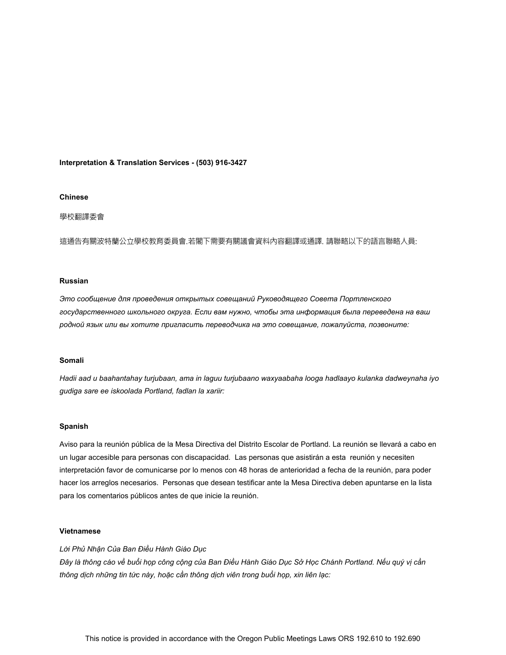### **Interpretation & Translation Services - (503) 916-3427**

#### **Chinese**

#### 學校翻譯委會

這通告有關波特蘭公立學校教育委員會.若閣下需要有關議會資料內容翻譯或通譯. 請聯略以下的語言聯略人員:

#### **Russian**

*Это сообщение для проведения открытых совещаний Руководящего Совета Портленского государственного школьного округа. Если вам нужно, чтобы эта информация была переведена на ваш родной язык или вы хотите пригласить переводчика на это совещание, пожалуйста, позвоните:* 

#### **Somali**

*Hadii aad u baahantahay turjubaan, ama in laguu turjubaano waxyaabaha looga hadlaayo kulanka dadweynaha iyo gudiga sare ee iskoolada Portland, fadlan la xariir:* 

#### **Spanish**

Aviso para la reunión pública de la Mesa Directiva del Distrito Escolar de Portland. La reunión se llevará a cabo en un lugar accesible para personas con discapacidad. Las personas que asistirán a esta reunión y necesiten interpretación favor de comunicarse por lo menos con 48 horas de anterioridad a fecha de la reunión, para poder hacer los arreglos necesarios. Personas que desean testificar ante la Mesa Directiva deben apuntarse en la lista para los comentarios públicos antes de que inicie la reunión.

#### **Vietnamese**

## *Lời Phủ Nhận Của Ban Ðiều Hành Giáo Dục*

Đây là thông cáo về buổi họp công cộng của Ban Điều Hành Giáo Dục Sở Học Chánh Portland. Nếu quý vị cần *thông dịch những tin tức này, hoặc cần thông dịch viên trong buổi họp, xin liên lạc:*